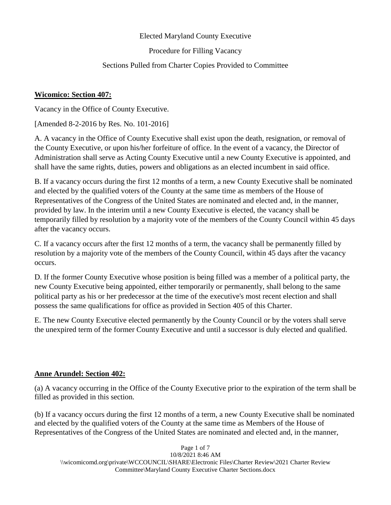#### Elected Maryland County Executive

Procedure for Filling Vacancy

## Sections Pulled from Charter Copies Provided to Committee

## **Wicomico: Section 407:**

Vacancy in the Office of County Executive.

[Amended 8-2-2016 by Res. No. 101-2016]

A. A vacancy in the Office of County Executive shall exist upon the death, resignation, or removal of the County Executive, or upon his/her forfeiture of office. In the event of a vacancy, the Director of Administration shall serve as Acting County Executive until a new County Executive is appointed, and shall have the same rights, duties, powers and obligations as an elected incumbent in said office.

B. If a vacancy occurs during the first 12 months of a term, a new County Executive shall be nominated and elected by the qualified voters of the County at the same time as members of the House of Representatives of the Congress of the United States are nominated and elected and, in the manner, provided by law. In the interim until a new County Executive is elected, the vacancy shall be temporarily filled by resolution by a majority vote of the members of the County Council within 45 days after the vacancy occurs.

C. If a vacancy occurs after the first 12 months of a term, the vacancy shall be permanently filled by resolution by a majority vote of the members of the County Council, within 45 days after the vacancy occurs.

D. If the former County Executive whose position is being filled was a member of a political party, the new County Executive being appointed, either temporarily or permanently, shall belong to the same political party as his or her predecessor at the time of the executive's most recent election and shall possess the same qualifications for office as provided in Section 405 of this Charter.

E. The new County Executive elected permanently by the County Council or by the voters shall serve the unexpired term of the former County Executive and until a successor is duly elected and qualified.

## **Anne Arundel: Section 402:**

(a) A vacancy occurring in the Office of the County Executive prior to the expiration of the term shall be filled as provided in this section.

(b) If a vacancy occurs during the first 12 months of a term, a new County Executive shall be nominated and elected by the qualified voters of the County at the same time as Members of the House of Representatives of the Congress of the United States are nominated and elected and, in the manner,

Page 1 of 7 10/8/2021 8:46 AM \\wicomicomd.org\private\WCCOUNCIL\SHARE\Electronic Files\Charter Review\2021 Charter Review Committee\Maryland County Executive Charter Sections.docx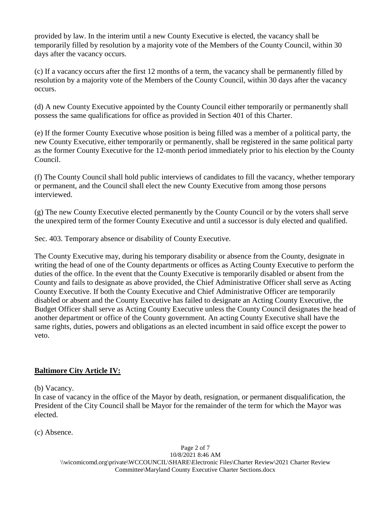provided by law. In the interim until a new County Executive is elected, the vacancy shall be temporarily filled by resolution by a majority vote of the Members of the County Council, within 30 days after the vacancy occurs.

(c) If a vacancy occurs after the first 12 months of a term, the vacancy shall be permanently filled by resolution by a majority vote of the Members of the County Council, within 30 days after the vacancy occurs.

(d) A new County Executive appointed by the County Council either temporarily or permanently shall possess the same qualifications for office as provided in Section 401 of this Charter.

(e) If the former County Executive whose position is being filled was a member of a political party, the new County Executive, either temporarily or permanently, shall be registered in the same political party as the former County Executive for the 12-month period immediately prior to his election by the County Council.

(f) The County Council shall hold public interviews of candidates to fill the vacancy, whether temporary or permanent, and the Council shall elect the new County Executive from among those persons interviewed.

(g) The new County Executive elected permanently by the County Council or by the voters shall serve the unexpired term of the former County Executive and until a successor is duly elected and qualified.

Sec. 403. Temporary absence or disability of County Executive.

The County Executive may, during his temporary disability or absence from the County, designate in writing the head of one of the County departments or offices as Acting County Executive to perform the duties of the office. In the event that the County Executive is temporarily disabled or absent from the County and fails to designate as above provided, the Chief Administrative Officer shall serve as Acting County Executive. If both the County Executive and Chief Administrative Officer are temporarily disabled or absent and the County Executive has failed to designate an Acting County Executive, the Budget Officer shall serve as Acting County Executive unless the County Council designates the head of another department or office of the County government. An acting County Executive shall have the same rights, duties, powers and obligations as an elected incumbent in said office except the power to veto.

# **Baltimore City Article IV:**

(b) Vacancy.

In case of vacancy in the office of the Mayor by death, resignation, or permanent disqualification, the President of the City Council shall be Mayor for the remainder of the term for which the Mayor was elected.

(c) Absence.

Page 2 of 7 10/8/2021 8:46 AM \\wicomicomd.org\private\WCCOUNCIL\SHARE\Electronic Files\Charter Review\2021 Charter Review Committee\Maryland County Executive Charter Sections.docx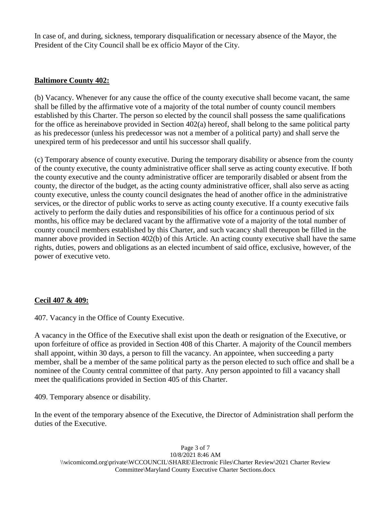In case of, and during, sickness, temporary disqualification or necessary absence of the Mayor, the President of the City Council shall be ex officio Mayor of the City.

#### **Baltimore County 402:**

(b) Vacancy. Whenever for any cause the office of the county executive shall become vacant, the same shall be filled by the affirmative vote of a majority of the total number of county council members established by this Charter. The person so elected by the council shall possess the same qualifications for the office as hereinabove provided in Section 402(a) hereof, shall belong to the same political party as his predecessor (unless his predecessor was not a member of a political party) and shall serve the unexpired term of his predecessor and until his successor shall qualify.

(c) Temporary absence of county executive. During the temporary disability or absence from the county of the county executive, the county administrative officer shall serve as acting county executive. If both the county executive and the county administrative officer are temporarily disabled or absent from the county, the director of the budget, as the acting county administrative officer, shall also serve as acting county executive, unless the county council designates the head of another office in the administrative services, or the director of public works to serve as acting county executive. If a county executive fails actively to perform the daily duties and responsibilities of his office for a continuous period of six months, his office may be declared vacant by the affirmative vote of a majority of the total number of county council members established by this Charter, and such vacancy shall thereupon be filled in the manner above provided in Section 402(b) of this Article. An acting county executive shall have the same rights, duties, powers and obligations as an elected incumbent of said office, exclusive, however, of the power of executive veto.

## **Cecil 407 & 409:**

407. Vacancy in the Office of County Executive.

A vacancy in the Office of the Executive shall exist upon the death or resignation of the Executive, or upon forfeiture of office as provided in Section 408 of this Charter. A majority of the Council members shall appoint, within 30 days, a person to fill the vacancy. An appointee, when succeeding a party member, shall be a member of the same political party as the person elected to such office and shall be a nominee of the County central committee of that party. Any person appointed to fill a vacancy shall meet the qualifications provided in Section 405 of this Charter.

409. Temporary absence or disability.

In the event of the temporary absence of the Executive, the Director of Administration shall perform the duties of the Executive.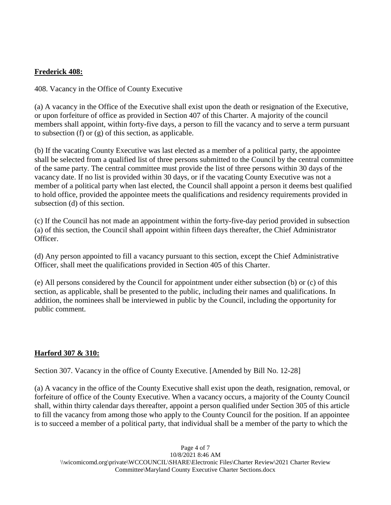## **Frederick 408:**

408. Vacancy in the Office of County Executive

(a) A vacancy in the Office of the Executive shall exist upon the death or resignation of the Executive, or upon forfeiture of office as provided in Section 407 of this Charter. A majority of the council members shall appoint, within forty-five days, a person to fill the vacancy and to serve a term pursuant to subsection (f) or (g) of this section, as applicable.

(b) If the vacating County Executive was last elected as a member of a political party, the appointee shall be selected from a qualified list of three persons submitted to the Council by the central committee of the same party. The central committee must provide the list of three persons within 30 days of the vacancy date. If no list is provided within 30 days, or if the vacating County Executive was not a member of a political party when last elected, the Council shall appoint a person it deems best qualified to hold office, provided the appointee meets the qualifications and residency requirements provided in subsection (d) of this section.

(c) If the Council has not made an appointment within the forty-five-day period provided in subsection (a) of this section, the Council shall appoint within fifteen days thereafter, the Chief Administrator Officer.

(d) Any person appointed to fill a vacancy pursuant to this section, except the Chief Administrative Officer, shall meet the qualifications provided in Section 405 of this Charter.

(e) All persons considered by the Council for appointment under either subsection (b) or (c) of this section, as applicable, shall be presented to the public, including their names and qualifications. In addition, the nominees shall be interviewed in public by the Council, including the opportunity for public comment.

## **Harford 307 & 310:**

Section 307. Vacancy in the office of County Executive. [Amended by Bill No. 12-28]

(a) A vacancy in the office of the County Executive shall exist upon the death, resignation, removal, or forfeiture of office of the County Executive. When a vacancy occurs, a majority of the County Council shall, within thirty calendar days thereafter, appoint a person qualified under Section 305 of this article to fill the vacancy from among those who apply to the County Council for the position. If an appointee is to succeed a member of a political party, that individual shall be a member of the party to which the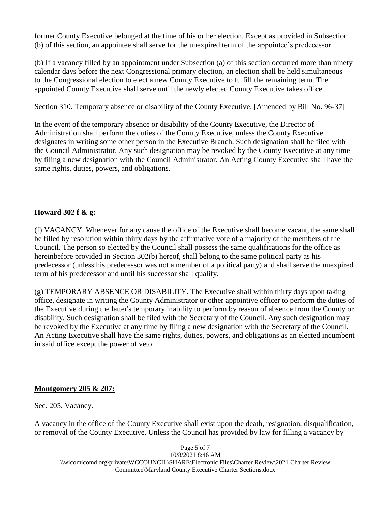former County Executive belonged at the time of his or her election. Except as provided in Subsection (b) of this section, an appointee shall serve for the unexpired term of the appointee's predecessor.

(b) If a vacancy filled by an appointment under Subsection (a) of this section occurred more than ninety calendar days before the next Congressional primary election, an election shall be held simultaneous to the Congressional election to elect a new County Executive to fulfill the remaining term. The appointed County Executive shall serve until the newly elected County Executive takes office.

Section 310. Temporary absence or disability of the County Executive. [Amended by Bill No. 96-37]

In the event of the temporary absence or disability of the County Executive, the Director of Administration shall perform the duties of the County Executive, unless the County Executive designates in writing some other person in the Executive Branch. Such designation shall be filed with the Council Administrator. Any such designation may be revoked by the County Executive at any time by filing a new designation with the Council Administrator. An Acting County Executive shall have the same rights, duties, powers, and obligations.

# **Howard 302 f & g:**

(f) VACANCY. Whenever for any cause the office of the Executive shall become vacant, the same shall be filled by resolution within thirty days by the affirmative vote of a majority of the members of the Council. The person so elected by the Council shall possess the same qualifications for the office as hereinbefore provided in Section 302(b) hereof, shall belong to the same political party as his predecessor (unless his predecessor was not a member of a political party) and shall serve the unexpired term of his predecessor and until his successor shall qualify.

(g) TEMPORARY ABSENCE OR DISABILITY. The Executive shall within thirty days upon taking office, designate in writing the County Administrator or other appointive officer to perform the duties of the Executive during the latter's temporary inability to perform by reason of absence from the County or disability. Such designation shall be filed with the Secretary of the Council. Any such designation may be revoked by the Executive at any time by filing a new designation with the Secretary of the Council. An Acting Executive shall have the same rights, duties, powers, and obligations as an elected incumbent in said office except the power of veto.

## **Montgomery 205 & 207:**

Sec. 205. Vacancy.

A vacancy in the office of the County Executive shall exist upon the death, resignation, disqualification, or removal of the County Executive. Unless the Council has provided by law for filling a vacancy by

Page 5 of 7 10/8/2021 8:46 AM \\wicomicomd.org\private\WCCOUNCIL\SHARE\Electronic Files\Charter Review\2021 Charter Review Committee\Maryland County Executive Charter Sections.docx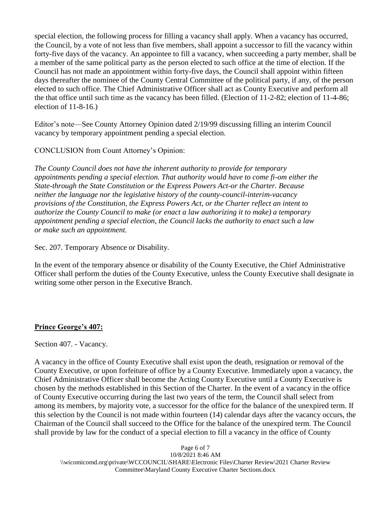special election, the following process for filling a vacancy shall apply. When a vacancy has occurred, the Council, by a vote of not less than five members, shall appoint a successor to fill the vacancy within forty-five days of the vacancy. An appointee to fill a vacancy, when succeeding a party member, shall be a member of the same political party as the person elected to such office at the time of election. If the Council has not made an appointment within forty-five days, the Council shall appoint within fifteen days thereafter the nominee of the County Central Committee of the political party, if any, of the person elected to such office. The Chief Administrative Officer shall act as County Executive and perform all the that office until such time as the vacancy has been filled. (Election of 11-2-82; election of 11-4-86; election of 11-8-16.)

Editor's note—See County Attorney Opinion dated 2/19/99 discussing filling an interim Council vacancy by temporary appointment pending a special election.

## CONCLUSION from Count Attorney's Opinion:

*The County Council does not have the inherent authority to provide for temporary appointments pending a special election. That authority would have to come fi-om either the State-through the State Constitution or the Express Powers Act-or the Charter. Because neither the language nor the legislative history of the county-council-interim-vacancy provisions of the Constitution, the Express Powers Act, or the Charter reflect an intent to authorize the County Council to make (or enact a law authorizing it to make) a temporary appointment pending a special election, the Council lacks the authority to enact such a law or make such an appointment.*

Sec. 207. Temporary Absence or Disability.

In the event of the temporary absence or disability of the County Executive, the Chief Administrative Officer shall perform the duties of the County Executive, unless the County Executive shall designate in writing some other person in the Executive Branch.

# **Prince George's 407:**

Section 407. - Vacancy.

A vacancy in the office of County Executive shall exist upon the death, resignation or removal of the County Executive, or upon forfeiture of office by a County Executive. Immediately upon a vacancy, the Chief Administrative Officer shall become the Acting County Executive until a County Executive is chosen by the methods established in this Section of the Charter. In the event of a vacancy in the office of County Executive occurring during the last two years of the term, the Council shall select from among its members, by majority vote, a successor for the office for the balance of the unexpired term. If this selection by the Council is not made within fourteen (14) calendar days after the vacancy occurs, the Chairman of the Council shall succeed to the Office for the balance of the unexpired term. The Council shall provide by law for the conduct of a special election to fill a vacancy in the office of County

Page 6 of 7 10/8/2021 8:46 AM \\wicomicomd.org\private\WCCOUNCIL\SHARE\Electronic Files\Charter Review\2021 Charter Review Committee\Maryland County Executive Charter Sections.docx